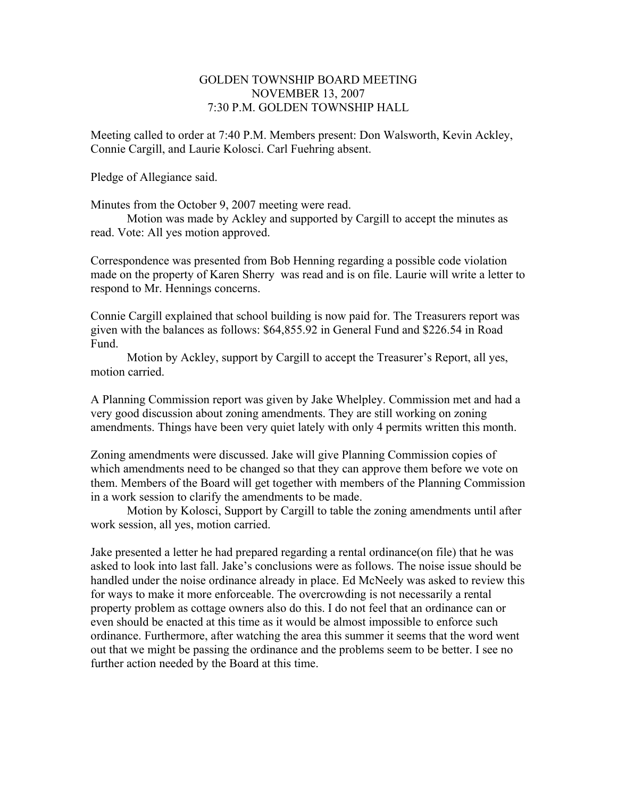## GOLDEN TOWNSHIP BOARD MEETING NOVEMBER 13, 2007 7:30 P.M. GOLDEN TOWNSHIP HALL

Meeting called to order at 7:40 P.M. Members present: Don Walsworth, Kevin Ackley, Connie Cargill, and Laurie Kolosci. Carl Fuehring absent.

Pledge of Allegiance said.

Minutes from the October 9, 2007 meeting were read.

 Motion was made by Ackley and supported by Cargill to accept the minutes as read. Vote: All yes motion approved.

Correspondence was presented from Bob Henning regarding a possible code violation made on the property of Karen Sherry was read and is on file. Laurie will write a letter to respond to Mr. Hennings concerns.

Connie Cargill explained that school building is now paid for. The Treasurers report was given with the balances as follows: \$64,855.92 in General Fund and \$226.54 in Road Fund.

 Motion by Ackley, support by Cargill to accept the Treasurer's Report, all yes, motion carried.

A Planning Commission report was given by Jake Whelpley. Commission met and had a very good discussion about zoning amendments. They are still working on zoning amendments. Things have been very quiet lately with only 4 permits written this month.

Zoning amendments were discussed. Jake will give Planning Commission copies of which amendments need to be changed so that they can approve them before we vote on them. Members of the Board will get together with members of the Planning Commission in a work session to clarify the amendments to be made.

 Motion by Kolosci, Support by Cargill to table the zoning amendments until after work session, all yes, motion carried.

Jake presented a letter he had prepared regarding a rental ordinance(on file) that he was asked to look into last fall. Jake's conclusions were as follows. The noise issue should be handled under the noise ordinance already in place. Ed McNeely was asked to review this for ways to make it more enforceable. The overcrowding is not necessarily a rental property problem as cottage owners also do this. I do not feel that an ordinance can or even should be enacted at this time as it would be almost impossible to enforce such ordinance. Furthermore, after watching the area this summer it seems that the word went out that we might be passing the ordinance and the problems seem to be better. I see no further action needed by the Board at this time.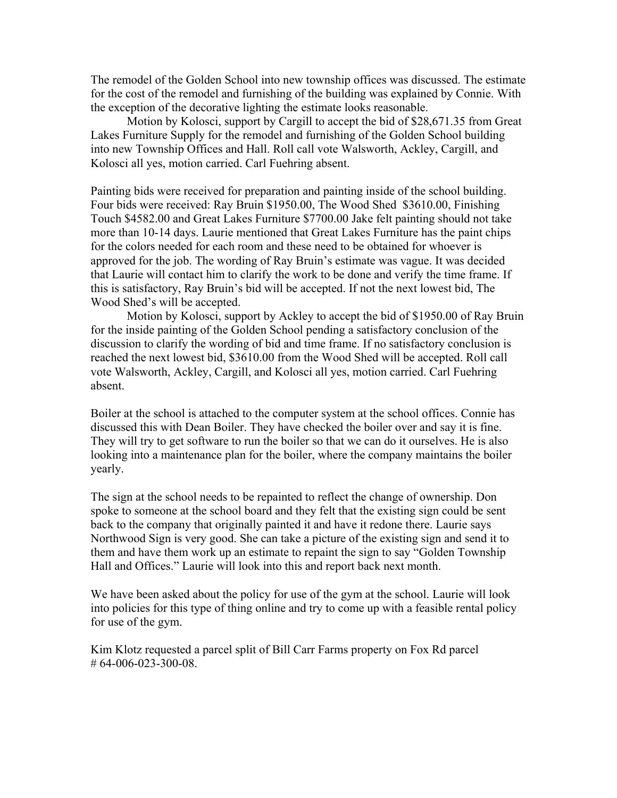The remodel of the Golden School into new township offices was discussed. The estimate for the cost of the remodel and furnishing of the building was explained by Connie. With the exception of the decorative lighting the estimate looks reasonable.

 Motion by Kolosci, support by Cargill to accept the bid of \$28,671.35 from Great Lakes Furniture Supply for the remodel and furnishing of the Golden School building into new Township Offices and Hall. Roll call vote Walsworth, Ackley, Cargill, and Kolosci all yes, motion carried. Carl Fuehring absent.

Painting bids were received for preparation and painting inside of the school building. Four bids were received: Ray Bruin \$1950.00, The Wood Shed \$3610.00, Finishing Touch \$4582.00 and Great Lakes Furniture \$7700.00 Jake felt painting should not take more than 10-14 days. Laurie mentioned that Great Lakes Furniture has the paint chips for the colors needed for each room and these need to be obtained for whoever is approved for the job. The wording of Ray Bruin's estimate was vague. It was decided that Laurie will contact him to clarify the work to be done and verify the time frame. If this is satisfactory, Ray Bruin's bid will be accepted. If not the next lowest bid, The Wood Shed's will be accepted.

 Motion by Kolosci, support by Ackley to accept the bid of \$1950.00 of Ray Bruin for the inside painting of the Golden School pending a satisfactory conclusion of the discussion to clarify the wording of bid and time frame. If no satisfactory conclusion is reached the next lowest bid, \$3610.00 from the Wood Shed will be accepted. Roll call vote Walsworth, Ackley, Cargill, and Kolosci all yes, motion carried. Carl Fuehring absent.

Boiler at the school is attached to the computer system at the school offices. Connie has discussed this with Dean Boiler. They have checked the boiler over and say it is fine. They will try to get software to run the boiler so that we can do it ourselves. He is also looking into a maintenance plan for the boiler, where the company maintains the boiler yearly.

The sign at the school needs to be repainted to reflect the change of ownership. Don spoke to someone at the school board and they felt that the existing sign could be sent back to the company that originally painted it and have it redone there. Laurie says Northwood Sign is very good. She can take a picture of the existing sign and send it to them and have them work up an estimate to repaint the sign to say "Golden Township Hall and Offices." Laurie will look into this and report back next month.

We have been asked about the policy for use of the gym at the school. Laurie will look into policies for this type of thing online and try to come up with a feasible rental policy for use of the gym.

Kim Klotz requested a parcel split of Bill Carr Farms property on Fox Rd parcel # 64-006-023-300-08.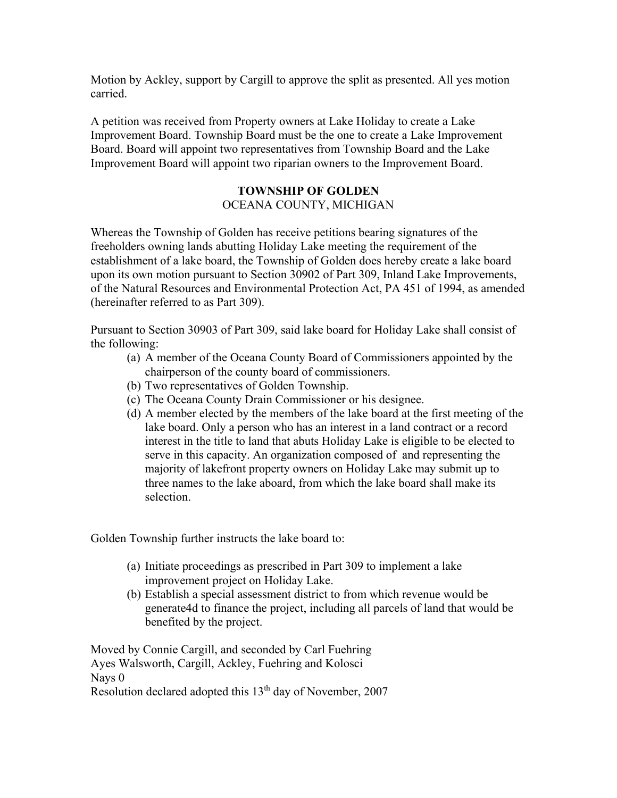Motion by Ackley, support by Cargill to approve the split as presented. All yes motion carried.

A petition was received from Property owners at Lake Holiday to create a Lake Improvement Board. Township Board must be the one to create a Lake Improvement Board. Board will appoint two representatives from Township Board and the Lake Improvement Board will appoint two riparian owners to the Improvement Board.

## **TOWNSHIP OF GOLDEN**

## OCEANA COUNTY, MICHIGAN

Whereas the Township of Golden has receive petitions bearing signatures of the freeholders owning lands abutting Holiday Lake meeting the requirement of the establishment of a lake board, the Township of Golden does hereby create a lake board upon its own motion pursuant to Section 30902 of Part 309, Inland Lake Improvements, of the Natural Resources and Environmental Protection Act, PA 451 of 1994, as amended (hereinafter referred to as Part 309).

Pursuant to Section 30903 of Part 309, said lake board for Holiday Lake shall consist of the following:

- (a) A member of the Oceana County Board of Commissioners appointed by the chairperson of the county board of commissioners.
- (b) Two representatives of Golden Township.
- (c) The Oceana County Drain Commissioner or his designee.
- (d) A member elected by the members of the lake board at the first meeting of the lake board. Only a person who has an interest in a land contract or a record interest in the title to land that abuts Holiday Lake is eligible to be elected to serve in this capacity. An organization composed of and representing the majority of lakefront property owners on Holiday Lake may submit up to three names to the lake aboard, from which the lake board shall make its selection.

Golden Township further instructs the lake board to:

- (a) Initiate proceedings as prescribed in Part 309 to implement a lake improvement project on Holiday Lake.
- (b) Establish a special assessment district to from which revenue would be generate4d to finance the project, including all parcels of land that would be benefited by the project.

Moved by Connie Cargill, and seconded by Carl Fuehring Ayes Walsworth, Cargill, Ackley, Fuehring and Kolosci Navs 0 Resolution declared adopted this 13<sup>th</sup> day of November, 2007